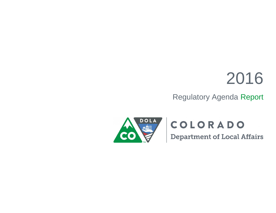# 2016

# Regulatory Agenda Report



# COLORADO

**Department of Local Affairs**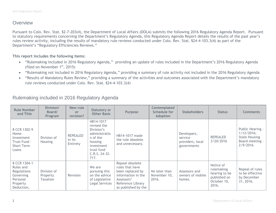#### **Overview**

Pursuant to Colo. Rev. Stat. §2-7-203(4), the Department of Local Affairs (DOLA) submits the following 2016 Regulatory Agenda Report. Pursuant to statutory requirements concerning the Department's Regulatory Agenda, this Regulatory Agenda Report details the results of the past year's rules review activity, including the results of mandatory rule reviews conducted under Colo. Rev. Stat. §24-4-103.3(4) as part of the Department's "Regulatory Efficiencies Reviews."

#### **This report includes the following items:**

- "Rulemaking included in 2016 Regulatory Agenda," providing an update of rules included in the Department's 2016 Regulatory Agenda (filed on November  $1<sup>st</sup>$ , 2015)
- "Rulemaking not included in 2016 Regulatory Agenda," providing a summary of rule activity not included in the 2016 Regulatory Agenda
- "Results of Mandatory Rules Review," providing a summary of the activities and outcomes associated with the Department's mandatory rule reviews conducted under Colo. Rev. Stat. §24-4-103.3(4)

| <b>Rule Number</b><br>and Title                                                             | Division/<br>Board/<br><b>Program</b>      | New rule<br><b>or</b><br>revision?    | <b>Statutory or</b><br><b>Other Basis</b>                                                                                           | Purpose                                                                                                                                | Contemplated<br>Schedule for<br><b>Adoption</b> | <b>Stakeholders</b>                                       | <b>Status</b>                                                                    | <b>Comments</b>                                                                       |
|---------------------------------------------------------------------------------------------|--------------------------------------------|---------------------------------------|-------------------------------------------------------------------------------------------------------------------------------------|----------------------------------------------------------------------------------------------------------------------------------------|-------------------------------------------------|-----------------------------------------------------------|----------------------------------------------------------------------------------|---------------------------------------------------------------------------------------|
| 8 CCR 1302-9<br>Home<br>Investment<br>Trust Fund -<br>Short Term<br>Loans                   | Division of<br><b>Housing</b>              | <b>REPEALED</b><br>in its<br>Entirety | HB14-1017<br>revised the<br>Division's<br>administratio<br>n of the<br>housing<br>investment<br>trust fund<br>C.R.S. 24-32-<br>717. | HB14-1017 made<br>the rule obsolete<br>and unnecessary.                                                                                |                                                 | Developers,<br>service<br>providers, local<br>governments | <b>REPEALED</b><br>3/20/2016                                                     | Public Hearing -<br>1/12/2016;<br><b>State Housing</b><br>Board meeting -<br>2/9/2016 |
| 8 CCR 1304-1<br>Rules and<br>Regulations<br>Governing<br>Personal<br>Property<br>Deduction, | Division of<br>Property<br><b>Taxation</b> | Revision                              | We are<br>pursuing this<br>on the advice<br>of Legislative<br>Legal Services                                                        | Repeal obsolete<br>rules that have<br>been replaced by<br>information in the<br>Assessors'<br>Reference Library<br>as published by the | No later than<br>November 10,<br>2016.          | Assessors and<br>owners of mobile<br>homes.               | Notice of<br>rulemaking<br>hearing to be<br>published on<br>October 10,<br>2016. | Repeal of rules<br>to be effective<br>by December<br>31, 2016.                        |

### Rulemaking included in 2016 Regulatory Agenda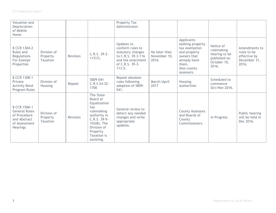| Valuation and<br>Depreciation<br>of Mobile<br>Home                                                       |                                            |          |                                                                                                                                                                      | Property Tax<br>Administrator.                                                                                              |                                        |                                                                                                                                      |                                                                                  |                                                                       |
|----------------------------------------------------------------------------------------------------------|--------------------------------------------|----------|----------------------------------------------------------------------------------------------------------------------------------------------------------------------|-----------------------------------------------------------------------------------------------------------------------------|----------------------------------------|--------------------------------------------------------------------------------------------------------------------------------------|----------------------------------------------------------------------------------|-----------------------------------------------------------------------|
| 8 CCR 1304-2<br>Rules and<br>Regulations<br>For Exempt<br>Properties                                     | Division of<br>Property<br>Taxation        | Revision | C.R.S. 39-2-<br>$117(7)$ .                                                                                                                                           | Updates to<br>conform rules to<br>statutory changes<br>to C.R.S. 39-3-116<br>and the enactment<br>of C.R.S. 39-3-<br>113.5. | No later than<br>November 10,<br>2016. | Applicants<br>seeking property<br>tax exemption<br>and property<br>owners that<br>already have<br>them.<br>Also county<br>assessors. | Notice of<br>rulemaking<br>hearing to be<br>published on<br>October 10,<br>2016. | Amendments to<br>rules to be<br>effective by<br>December 31,<br>2016. |
| 8 CCR 1308-1<br>Private<br><b>Activity Bond</b><br>Program Rules                                         | Division of<br>Housing                     | Repeal   | SB09-041<br>C.R.S 24-32-<br>1700                                                                                                                                     | Repeal obsolete<br>rules following<br>adoption of SB09-<br>041.                                                             | March/April<br>2017                    | <b>Housing</b><br>Authorities                                                                                                        | Scheduled to<br>commence<br>Oct/Nov 2016.                                        |                                                                       |
| 8 CCR 1506-1<br><b>General Rules</b><br>of Procedure<br>and Abstract<br>of Assessment<br><b>Hearings</b> | Division of<br>Property<br><b>Taxation</b> | Revision | The State<br>Board of<br>Equalization<br>has<br>rulemaking<br>authority in<br>C.R.S. 39-9-<br>$103(8)$ . The<br>Division of<br>Property<br>Taxation is<br>assisting. | General review to<br>detect any needed<br>changes and write<br>appropriate<br>updates.                                      |                                        | <b>County Assessors</b><br>and Boards of<br>County<br>Commissioners.                                                                 | In Progress.                                                                     | Public hearing<br>will be held in<br>Dec 2016.                        |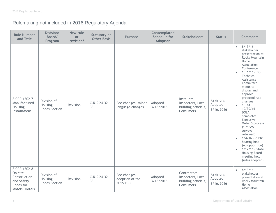## Rulemaking not included in 2016 Regulatory Agenda

| <b>Rule Number</b><br>and Title                                                      | Division/<br>Board/<br>Program                   | New rule<br>or<br>revision? | <b>Statutory or</b><br><b>Other Basis</b> | Purpose                                             | Contemplated<br><b>Schedule for</b><br><b>Adoption</b> | <b>Stakeholders</b>                                                         | <b>Status</b>                     | <b>Comments</b>                                                                                                                                                                                                                                                                                                                                                                                                                                                                                                                                                          |
|--------------------------------------------------------------------------------------|--------------------------------------------------|-----------------------------|-------------------------------------------|-----------------------------------------------------|--------------------------------------------------------|-----------------------------------------------------------------------------|-----------------------------------|--------------------------------------------------------------------------------------------------------------------------------------------------------------------------------------------------------------------------------------------------------------------------------------------------------------------------------------------------------------------------------------------------------------------------------------------------------------------------------------------------------------------------------------------------------------------------|
| 8 CCR 1302-7<br>Manufactured<br>Housing<br>Installations                             | Division of<br>Housing -<br><b>Codes Section</b> | Revision                    | C.R.S 24-32-<br>33                        | Fee changes, minor<br>language changes              | Adopted<br>3/16/2016                                   | Installers,<br>Inspectors, Local<br>Building officials,<br><b>Consumers</b> | Revisions<br>Adopted<br>3/16/2016 | $8/13/16 -$<br>$\bullet$<br>stakeholder<br>presentation at<br>Rocky Mountain<br>Home<br>Association<br>Conference<br>$10/6/16 - DOH$<br>$\bullet$<br>Technical<br>Assistance<br>Committee<br>meets to<br>discuss and<br>approve<br>proposed rule<br>changes<br>$10/14 -$<br>$\bullet$<br>$10/30/16 -$<br><b>DOLA</b><br>completes<br>Executive<br>Order 5 process<br>(1 of 997<br>surveys<br>returned)<br>$1/4/16$ - Public<br>$\bullet$<br>hearing held<br>(no opposition)<br>$1/12/16 - State$<br>$\bullet$<br><b>Housing Board</b><br>meeting held<br>(rules adopted) |
| 8 CCR 1302-8<br>On-site<br>Construction<br>and Safety<br>Codes for<br>Motels, Hotels | Division of<br>Housing -<br><b>Codes Section</b> | Revision                    | C.R.S 24-32-<br>33                        | Fee changes,<br>adoption of the<br><b>2015 IECC</b> | Adopted<br>3/16/2016                                   | Contractors,<br>Inspectors, Local<br>Building officials,<br>Consumers       | Revisions<br>Adopted<br>3/16/2016 | $8/13/16 -$<br>$\bullet$<br>stakeholder<br>presentation at<br>Rocky Mountain<br>Home<br>Association                                                                                                                                                                                                                                                                                                                                                                                                                                                                      |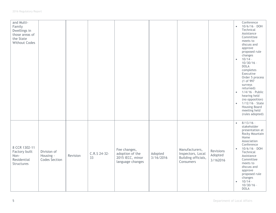| and Multi-<br>Family<br>Dwellings in<br>those areas of<br>the State<br><b>Without Codes</b> |                                                  |          |                    |                                                                         |                      |                                                                         |                                  | $\bullet$<br>$\bullet$<br>$\bullet$<br>$\bullet$ | Conference<br>$10/6/16 - DOH$<br>Technical<br>Assistance<br>Committee<br>meets to<br>discuss and<br>approve<br>proposed rule<br>changes<br>$10/14 -$<br>$10/30/16 -$<br><b>DOLA</b><br>completes<br>Executive<br>Order 5 process<br>(1 of 997<br>surveys<br>returned)<br>1/4/16 - Public<br>hearing held<br>(no opposition)<br>$1/12/16$ - State<br>Housing Board<br>meeting held<br>(rules adopted) |
|---------------------------------------------------------------------------------------------|--------------------------------------------------|----------|--------------------|-------------------------------------------------------------------------|----------------------|-------------------------------------------------------------------------|----------------------------------|--------------------------------------------------|------------------------------------------------------------------------------------------------------------------------------------------------------------------------------------------------------------------------------------------------------------------------------------------------------------------------------------------------------------------------------------------------------|
| 8 CCR 1302-11<br>Factory built<br>Non-<br>Residential<br>Structures                         | Division of<br>Housing -<br><b>Codes Section</b> | Revision | C.R.S 24-32-<br>33 | Fee changes,<br>adoption of the<br>2015 IECC, minor<br>language changes | Adopted<br>3/16/2016 | Manufacturers,<br>Inspectors, Local<br>Building officials,<br>Consumers | Revisions<br>Adopted<br>3/162016 | $\bullet$<br>$\bullet$<br>$\bullet$              | $8/13/16 -$<br>stakeholder<br>presentation at<br>Rocky Mountain<br>Home<br>Association<br>Conference<br>$10/6/16 - DOH$<br>Technical<br>Assistance<br>Committee<br>meets to<br>discuss and<br>approve<br>proposed rule<br>changes<br>$10/14 -$<br>$10/30/16 -$<br><b>DOLA</b>                                                                                                                        |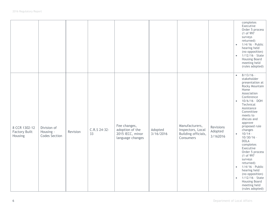|                                                  |                                                  |          |                    |                                                                         |                      |                                                                         |                                  | $\bullet$<br>$\bullet$                                        | completes<br>Executive<br>Order 5 process<br>(1 of 997)<br>surveys<br>returned)<br>1/4/16 - Public<br>hearing held<br>(no opposition)<br>$1/12/16$ - State<br>Housing Board<br>meeting held<br>(rules adopted)                                                                                                                                                                                                                                                                               |
|--------------------------------------------------|--------------------------------------------------|----------|--------------------|-------------------------------------------------------------------------|----------------------|-------------------------------------------------------------------------|----------------------------------|---------------------------------------------------------------|----------------------------------------------------------------------------------------------------------------------------------------------------------------------------------------------------------------------------------------------------------------------------------------------------------------------------------------------------------------------------------------------------------------------------------------------------------------------------------------------|
| 8 CCR 1302-12<br><b>Factory Built</b><br>Housing | Division of<br>Housing -<br><b>Codes Section</b> | Revision | C.R.S 24-32-<br>33 | Fee changes,<br>adoption of the<br>2015 IECC, minor<br>language changes | Adopted<br>3/16/2016 | Manufacturers,<br>Inspectors, Local<br>Building officials,<br>Consumers | Revisions<br>Adopted<br>3/162016 | $\bullet$<br>$\bullet$<br>$\bullet$<br>$\bullet$<br>$\bullet$ | $8/13/16$ -<br>stakeholder<br>presentation at<br>Rocky Mountain<br>Home<br>Association<br>Conference<br>$10/6/16 - DOH$<br>Technical<br>Assistance<br>Committee<br>meets to<br>discuss and<br>approve<br>proposed rule<br>changes<br>$10/14 -$<br>$10/30/16 -$<br><b>DOLA</b><br>completes<br>Executive<br>Order 5 process<br>(1 of 997<br>surveys<br>returned)<br>1/4/16 - Public<br>hearing held<br>(no opposition)<br>1/12/16 - State<br>Housing Board<br>meeting held<br>(rules adopted) |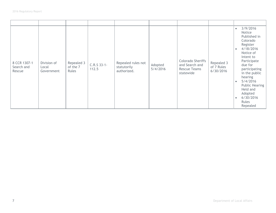| 8 CCR 1307-1<br>Search and<br>Rescue | Division of<br>Local<br>Government | Repealed 3<br>of the 7<br><b>Rules</b> | C.R.S 33-1-<br>112.5 | Repealed rules not<br>statutorily<br>authorized. | Adopted<br>5/4/2016 | <b>Colorado Sheriffs</b><br>and Search and<br><b>Rescue Teams</b><br>statewide | Repealed 3<br>of 7 Rules<br>6/30/2016 | 3/9/2016<br>$\bullet$<br>Notice<br>Published in<br>Colorado<br>Register<br>4/18/2016<br>$\bullet$<br>Notice of<br>Intent to<br>Participate<br>due for<br>participating<br>in the public<br>hearing<br>5/4/2016<br>$\bullet$<br><b>Public Hearing</b><br>Held and<br>Adopted<br>6/30/2016<br>$\bullet$<br>Rules<br>Repealed |
|--------------------------------------|------------------------------------|----------------------------------------|----------------------|--------------------------------------------------|---------------------|--------------------------------------------------------------------------------|---------------------------------------|----------------------------------------------------------------------------------------------------------------------------------------------------------------------------------------------------------------------------------------------------------------------------------------------------------------------------|